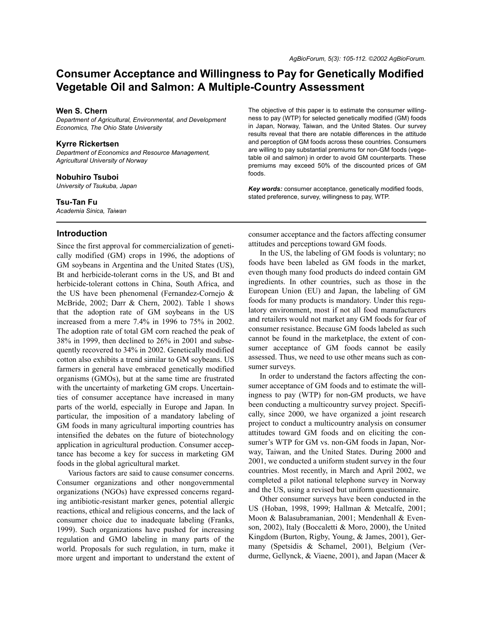# **Consumer Acceptance and Willingness to Pay for Genetically Modified Vegetable Oil and Salmon: A Multiple-Country Assessment**

### **Wen S. Chern**

*Department of Agricultural, Environmental, and Development Economics, The Ohio State University*

### **Kyrre Rickertsen**

*Department of Economics and Resource Management, Agricultural University of Norway*

### **Nobuhiro Tsuboi**

*University of Tsukuba, Japan* 

#### **Tsu-Tan Fu**

*Academia Sinica, Taiwan*

### **Introduction**

Since the first approval for commercialization of genetically modified (GM) crops in 1996, the adoptions of GM soybeans in Argentina and the United States (US), Bt and herbicide-tolerant corns in the US, and Bt and herbicide-tolerant cottons in China, South Africa, and the US have been phenomenal (Fernandez-Cornejo & McBride, 2002; Darr & Chern, 2002). Table 1 shows that the adoption rate of GM soybeans in the US increased from a mere 7.4% in 1996 to 75% in 2002. The adoption rate of total GM corn reached the peak of 38% in 1999, then declined to 26% in 2001 and subsequently recovered to 34% in 2002. Genetically modified cotton also exhibits a trend similar to GM soybeans. US farmers in general have embraced genetically modified organisms (GMOs), but at the same time are frustrated with the uncertainty of marketing GM crops. Uncertainties of consumer acceptance have increased in many parts of the world, especially in Europe and Japan. In particular, the imposition of a mandatory labeling of GM foods in many agricultural importing countries has intensified the debates on the future of biotechnology application in agricultural production. Consumer acceptance has become a key for success in marketing GM foods in the global agricultural market.

Various factors are said to cause consumer concerns. Consumer organizations and other nongovernmental organizations (NGOs) have expressed concerns regarding antibiotic-resistant marker genes, potential allergic reactions, ethical and religious concerns, and the lack of consumer choice due to inadequate labeling (Franks, 1999). Such organizations have pushed for increasing regulation and GMO labeling in many parts of the world. Proposals for such regulation, in turn, make it more urgent and important to understand the extent of The objective of this paper is to estimate the consumer willingness to pay (WTP) for selected genetically modified (GM) foods in Japan, Norway, Taiwan, and the United States. Our survey results reveal that there are notable differences in the attitude and perception of GM foods across these countries. Consumers are willing to pay substantial premiums for non-GM foods (vegetable oil and salmon) in order to avoid GM counterparts. These premiums may exceed 50% of the discounted prices of GM foods.

*Key words:* consumer acceptance, genetically modified foods, stated preference, survey, willingness to pay, WTP.

consumer acceptance and the factors affecting consumer attitudes and perceptions toward GM foods.

In the US, the labeling of GM foods is voluntary; no foods have been labeled as GM foods in the market, even though many food products do indeed contain GM ingredients. In other countries, such as those in the European Union (EU) and Japan, the labeling of GM foods for many products is mandatory. Under this regulatory environment, most if not all food manufacturers and retailers would not market any GM foods for fear of consumer resistance. Because GM foods labeled as such cannot be found in the marketplace, the extent of consumer acceptance of GM foods cannot be easily assessed. Thus, we need to use other means such as consumer surveys.

In order to understand the factors affecting the consumer acceptance of GM foods and to estimate the willingness to pay (WTP) for non-GM products, we have been conducting a multicountry survey project. Specifically, since 2000, we have organized a joint research project to conduct a multicountry analysis on consumer attitudes toward GM foods and on eliciting the consumer's WTP for GM vs. non-GM foods in Japan, Norway, Taiwan, and the United States. During 2000 and 2001, we conducted a uniform student survey in the four countries. Most recently, in March and April 2002, we completed a pilot national telephone survey in Norway and the US, using a revised but uniform questionnaire.

Other consumer surveys have been conducted in the US (Hoban, 1998, 1999; Hallman & Metcalfe, 2001; Moon & Balasubramanian, 2001; Mendenhall & Evenson, 2002), Italy (Boccaletti & Moro, 2000), the United Kingdom (Burton, Rigby, Young, & James, 2001), Germany (Spetsidis & Schamel, 2001), Belgium (Verdurme, Gellynck, & Viaene, 2001), and Japan (Macer &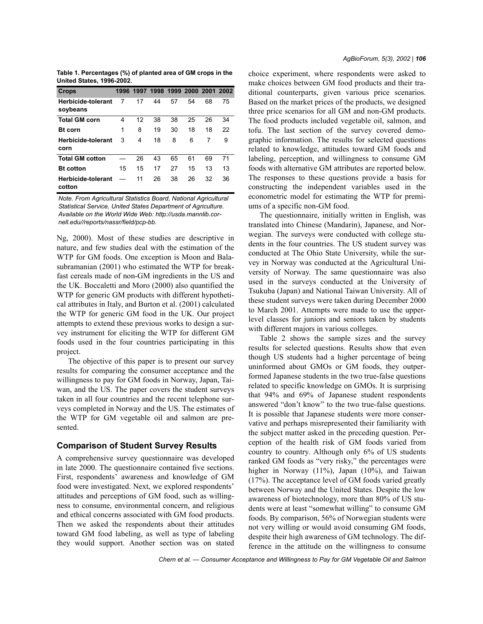**Table 1. Percentages (%) of planted area of GM crops in the United States, 1996-2002.**

| <b>Crops</b>                        | 1996 |    | 1997 1998 1999 2000 2001 2002 |    |    |    |    |
|-------------------------------------|------|----|-------------------------------|----|----|----|----|
| Herbicide-tolerant<br>soybeans      | 7    | 17 | 44                            | 57 | 54 | 68 | 75 |
| <b>Total GM corn</b>                | 4    | 12 | 38                            | 38 | 25 | 26 | 34 |
| <b>Bt</b> corn                      | 1    | 8  | 19                            | 30 | 18 | 18 | 22 |
| Herbicide-tolerant                  | 3    | 4  | 18                            | 8  | 6  | 7  | 9  |
| corn                                |      |    |                               |    |    |    |    |
| <b>Total GM cotton</b>              |      | 26 | 43                            | 65 | 61 | 69 | 71 |
| <b>Bt</b> cotton                    | 15   | 15 | 17                            | 27 | 15 | 13 | 13 |
| <b>Herbicide-tolerant</b><br>cotton |      | 11 | 26                            | 38 | 26 | 32 | 36 |

*Note. From Agricultural Statistics Board, National Agricultural Statistical Service, United States Department of Agriculture. Available on the World Wide Web: http://usda.mannlib.cornell.edu//reports/nassr/field/pcp-bb.*

Ng, 2000). Most of these studies are descriptive in nature, and few studies deal with the estimation of the WTP for GM foods. One exception is Moon and Balasubramanian (2001) who estimated the WTP for breakfast cereals made of non-GM ingredients in the US and the UK. Boccaletti and Moro (2000) also quantified the WTP for generic GM products with different hypothetical attributes in Italy, and Burton et al. (2001) calculated the WTP for generic GM food in the UK. Our project attempts to extend these previous works to design a survey instrument for eliciting the WTP for different GM foods used in the four countries participating in this project.

The objective of this paper is to present our survey results for comparing the consumer acceptance and the willingness to pay for GM foods in Norway, Japan, Taiwan, and the US. The paper covers the student surveys taken in all four countries and the recent telephone surveys completed in Norway and the US. The estimates of the WTP for GM vegetable oil and salmon are presented.

## **Comparison of Student Survey Results**

A comprehensive survey questionnaire was developed in late 2000. The questionnaire contained five sections. First, respondents' awareness and knowledge of GM food were investigated. Next, we explored respondents' attitudes and perceptions of GM food, such as willingness to consume, environmental concern, and religious and ethical concerns associated with GM food products. Then we asked the respondents about their attitudes toward GM food labeling, as well as type of labeling they would support. Another section was on stated choice experiment, where respondents were asked to make choices between GM food products and their traditional counterparts, given various price scenarios. Based on the market prices of the products, we designed three price scenarios for all GM and non-GM products. The food products included vegetable oil, salmon, and tofu. The last section of the survey covered demographic information. The results for selected questions related to knowledge, attitudes toward GM foods and labeling, perception, and willingness to consume GM foods with alternative GM attributes are reported below. The responses to these questions provide a basis for constructing the independent variables used in the econometric model for estimating the WTP for premiums of a specific non-GM food.

The questionnaire, initially written in English, was translated into Chinese (Mandarin), Japanese, and Norwegian. The surveys were conducted with college students in the four countries. The US student survey was conducted at The Ohio State University, while the survey in Norway was conducted at the Agricultural University of Norway. The same questionnaire was also used in the surveys conducted at the University of Tsukuba (Japan) and National Taiwan University. All of these student surveys were taken during December 2000 to March 2001. Attempts were made to use the upperlevel classes for juniors and seniors taken by students with different majors in various colleges.

Table 2 shows the sample sizes and the survey results for selected questions. Results show that even though US students had a higher percentage of being uninformed about GMOs or GM foods, they outperformed Japanese students in the two true-false questions related to specific knowledge on GMOs. It is surprising that 94% and 69% of Japanese student respondents answered "don't know" to the two true-false questions. It is possible that Japanese students were more conservative and perhaps misrepresented their familiarity with the subject matter asked in the preceding question. Perception of the health risk of GM foods varied from country to country. Although only 6% of US students ranked GM foods as "very risky," the percentages were higher in Norway (11%), Japan (10%), and Taiwan (17%). The acceptance level of GM foods varied greatly between Norway and the United States. Despite the low awareness of biotechnology, more than 80% of US students were at least "somewhat willing" to consume GM foods. By comparison, 56% of Norwegian students were not very willing or would avoid consuming GM foods, despite their high awareness of GM technology. The difference in the attitude on the willingness to consume

*Chern et al. — Consumer Acceptance and Willingness to Pay for GM Vegetable Oil and Salmon*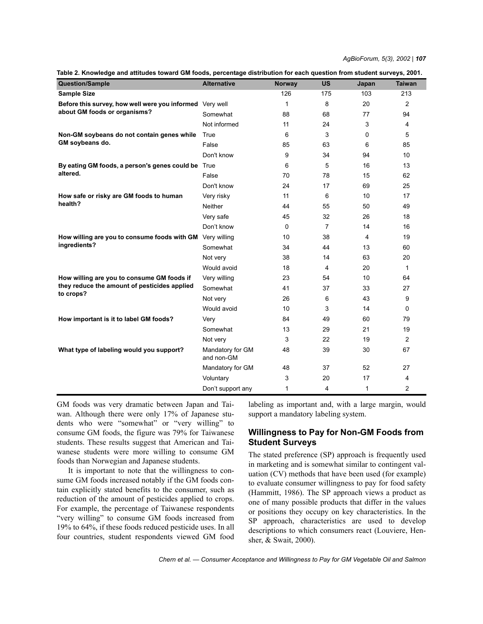*AgBioForum, 5(3), 2002 | 107*

| <b>Question/Sample</b>                                    | <b>Alternative</b>             | <b>Norway</b> | <b>US</b>      | Japan          | <b>Taiwan</b>  |
|-----------------------------------------------------------|--------------------------------|---------------|----------------|----------------|----------------|
| <b>Sample Size</b>                                        |                                | 126           | 175            | 103            | 213            |
| Before this survey, how well were you informed Very well  |                                | $\mathbf{1}$  | 8              | 20             | $\overline{2}$ |
| about GM foods or organisms?                              | Somewhat                       | 88            | 68             | 77             | 94             |
|                                                           | Not informed                   | 11            | 24             | 3              | 4              |
| Non-GM soybeans do not contain genes while                | True                           | 6             | 3              | 0              | 5              |
| GM soybeans do.                                           | False                          | 85            | 63             | 6              | 85             |
|                                                           | Don't know                     | 9             | 34             | 94             | 10             |
| By eating GM foods, a person's genes could be True        |                                | 6             | 5              | 16             | 13             |
| altered.                                                  | False                          | 70            | 78             | 15             | 62             |
|                                                           | Don't know                     | 24            | 17             | 69             | 25             |
| How safe or risky are GM foods to human                   | Very risky                     | 11            | 6              | 10             | 17             |
| health?                                                   | <b>Neither</b>                 | 44            | 55             | 50             | 49             |
|                                                           | Very safe                      | 45            | 32             | 26             | 18             |
|                                                           | Don't know                     | $\mathbf{0}$  | $\overline{7}$ | 14             | 16             |
| How willing are you to consume foods with GM Very willing |                                | 10            | 38             | $\overline{4}$ | 19             |
| ingredients?                                              | Somewhat                       | 34            | 44             | 13             | 60             |
|                                                           | Not very                       | 38            | 14             | 63             | 20             |
|                                                           | Would avoid                    | 18            | 4              | 20             | $\mathbf{1}$   |
| How willing are you to consume GM foods if                | Very willing                   | 23            | 54             | 10             | 64             |
| they reduce the amount of pesticides applied              | Somewhat                       | 41            | 37             | 33             | 27             |
| to crops?                                                 | Not very                       | 26            | 6              | 43             | 9              |
|                                                           | Would avoid                    | 10            | 3              | 14             | 0              |
| How important is it to label GM foods?                    | Very                           | 84            | 49             | 60             | 79             |
|                                                           | Somewhat                       | 13            | 29             | 21             | 19             |
|                                                           | Not very                       | 3             | 22             | 19             | 2              |
| What type of labeling would you support?                  | Mandatory for GM<br>and non-GM | 48            | 39             | 30             | 67             |
|                                                           | Mandatory for GM               | 48            | 37             | 52             | 27             |
|                                                           | Voluntary                      | 3             | 20             | 17             | 4              |
|                                                           | Don't support any              | 1             | 4              | 1              | $\overline{c}$ |

**Table 2. Knowledge and attitudes toward GM foods, percentage distribution for each question from student surveys, 2001.**

GM foods was very dramatic between Japan and Taiwan. Although there were only 17% of Japanese students who were "somewhat" or "very willing" to consume GM foods, the figure was 79% for Taiwanese students. These results suggest that American and Taiwanese students were more willing to consume GM foods than Norwegian and Japanese students.

It is important to note that the willingness to consume GM foods increased notably if the GM foods contain explicitly stated benefits to the consumer, such as reduction of the amount of pesticides applied to crops. For example, the percentage of Taiwanese respondents "very willing" to consume GM foods increased from 19% to 64%, if these foods reduced pesticide uses. In all four countries, student respondents viewed GM food labeling as important and, with a large margin, would support a mandatory labeling system.

## **Willingness to Pay for Non-GM Foods from Student Surveys**

The stated preference (SP) approach is frequently used in marketing and is somewhat similar to contingent valuation (CV) methods that have been used (for example) to evaluate consumer willingness to pay for food safety (Hammitt, 1986). The SP approach views a product as one of many possible products that differ in the values or positions they occupy on key characteristics. In the SP approach, characteristics are used to develop descriptions to which consumers react (Louviere, Hensher, & Swait, 2000).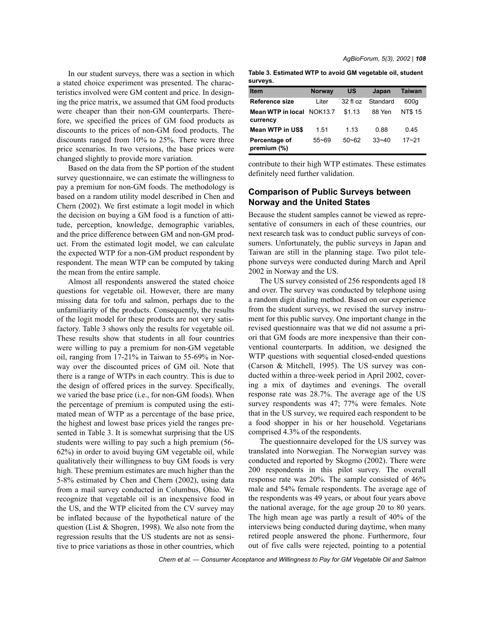In our student surveys, there was a section in which a stated choice experiment was presented. The characteristics involved were GM content and price. In designing the price matrix, we assumed that GM food products were cheaper than their non-GM counterparts. Therefore, we specified the prices of GM food products as discounts to the prices of non-GM food products. The discounts ranged from 10% to 25%. There were three price scenarios. In two versions, the base prices were changed slightly to provide more variation.

Based on the data from the SP portion of the student survey questionnaire, we can estimate the willingness to pay a premium for non-GM foods. The methodology is based on a random utility model described in Chen and Chern (2002). We first estimate a logit model in which the decision on buying a GM food is a function of attitude, perception, knowledge, demographic variables, and the price difference between GM and non-GM product. From the estimated logit model, we can calculate the expected WTP for a non-GM product respondent by respondent. The mean WTP can be computed by taking the mean from the entire sample.

Almost all respondents answered the stated choice questions for vegetable oil. However, there are many missing data for tofu and salmon, perhaps due to the unfamiliarity of the products. Consequently, the results of the logit model for these products are not very satisfactory. Table 3 shows only the results for vegetable oil. These results show that students in all four countries were willing to pay a premium for non-GM vegetable oil, ranging from 17-21% in Taiwan to 55-69% in Norway over the discounted prices of GM oil. Note that there is a range of WTPs in each country. This is due to the design of offered prices in the survey. Specifically, we varied the base price (i.e., for non-GM foods). When the percentage of premium is computed using the estimated mean of WTP as a percentage of the base price, the highest and lowest base prices yield the ranges presented in Table 3. It is somewhat surprising that the US students were willing to pay such a high premium (56- 62%) in order to avoid buying GM vegetable oil, while qualitatively their willingness to buy GM foods is very high. These premium estimates are much higher than the 5-8% estimated by Chen and Chern (2002), using data from a mail survey conducted in Columbus, Ohio. We recognize that vegetable oil is an inexpensive food in the US, and the WTP elicited from the CV survey may be inflated because of the hypothetical nature of the question (List & Shogren, 1998). We also note from the regression results that the US students are not as sensitive to price variations as those in other countries, which *AgBioForum, 5(3), 2002 | 108*

**Table 3. Estimated WTP to avoid GM vegetable oil, student surveys.**

| <b>Item</b>                           | <b>Norway</b> | US        | Japan     | <b>Taiwan</b> |
|---------------------------------------|---------------|-----------|-----------|---------------|
| Reference size                        | Liter         | 32f1oz    | Standard  | 600g          |
| Mean WTP in local NOK13.7<br>currency |               | \$1.13    | 88 Yen    | <b>NT\$15</b> |
| <b>Mean WTP in US\$</b>               | 1.51          | 1 1 3     | 0.88      | 0.45          |
| Percentage of<br>premium $(\%)$       | $55 - 69$     | $50 - 62$ | $33 - 40$ | $17 - 21$     |

contribute to their high WTP estimates. These estimates definitely need further validation.

## **Comparison of Public Surveys between Norway and the United States**

Because the student samples cannot be viewed as representative of consumers in each of these countries, our next research task was to conduct public surveys of consumers. Unfortunately, the public surveys in Japan and Taiwan are still in the planning stage. Two pilot telephone surveys were conducted during March and April 2002 in Norway and the US.

The US survey consisted of 256 respondents aged 18 and over. The survey was conducted by telephone using a random digit dialing method. Based on our experience from the student surveys, we revised the survey instrument for this public survey. One important change in the revised questionnaire was that we did not assume a priori that GM foods are more inexpensive than their conventional counterparts. In addition, we designed the WTP questions with sequential closed-ended questions (Carson & Mitchell, 1995). The US survey was conducted within a three-week period in April 2002, covering a mix of daytimes and evenings. The overall response rate was 28.7%. The average age of the US survey respondents was 47; 77% were females. Note that in the US survey, we required each respondent to be a food shopper in his or her household. Vegetarians comprised 4.3% of the respondents.

The questionnaire developed for the US survey was translated into Norwegian. The Norwegian survey was conducted and reported by Skogmo (2002). There were 200 respondents in this pilot survey. The overall response rate was 20%. The sample consisted of 46% male and 54% female respondents. The average age of the respondents was 49 years, or about four years above the national average, for the age group 20 to 80 years. The high mean age was partly a result of 40% of the interviews being conducted during daytime, when many retired people answered the phone. Furthermore, four out of five calls were rejected, pointing to a potential

*Chern et al. — Consumer Acceptance and Willingness to Pay for GM Vegetable Oil and Salmon*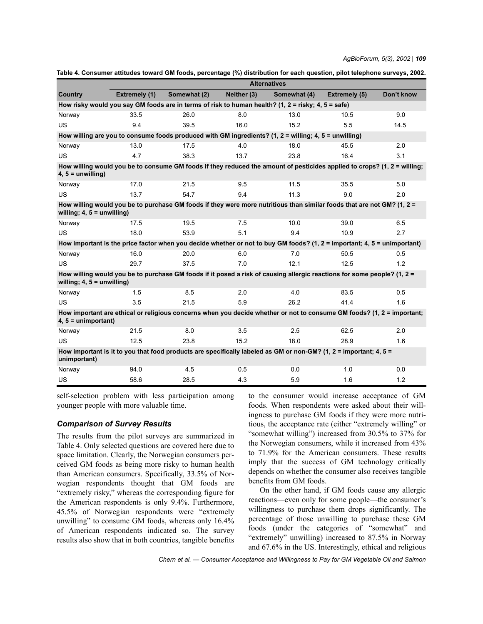|                                                                                                                                                         | <b>Alternatives</b>  |                                                                                                                          |             |              |               |            |
|---------------------------------------------------------------------------------------------------------------------------------------------------------|----------------------|--------------------------------------------------------------------------------------------------------------------------|-------------|--------------|---------------|------------|
| Country                                                                                                                                                 | <b>Extremely (1)</b> | Somewhat (2)                                                                                                             | Neither (3) | Somewhat (4) | Extremely (5) | Don't know |
| How risky would you say GM foods are in terms of risk to human health? (1, 2 = risky; 4, 5 = safe)                                                      |                      |                                                                                                                          |             |              |               |            |
| Norway                                                                                                                                                  | 33.5                 | 26.0                                                                                                                     | 8.0         | 13.0         | 10.5          | 9.0        |
| <b>US</b>                                                                                                                                               | 9.4                  | 39.5                                                                                                                     | 16.0        | 15.2         | 5.5           | 14.5       |
|                                                                                                                                                         |                      | How willing are you to consume foods produced with GM ingredients? $(1, 2 =$ willing; $4, 5 =$ unwilling)                |             |              |               |            |
| Norway                                                                                                                                                  | 13.0                 | 17.5                                                                                                                     | 4.0         | 18.0         | 45.5          | 2.0        |
| <b>US</b>                                                                                                                                               | 4.7                  | 38.3                                                                                                                     | 13.7        | 23.8         | 16.4          | 3.1        |
| $4, 5 =$ unwilling)                                                                                                                                     |                      | How willing would you be to consume GM foods if they reduced the amount of pesticides applied to crops? (1, 2 = willing; |             |              |               |            |
| Norway                                                                                                                                                  | 17.0                 | 21.5                                                                                                                     | 9.5         | 11.5         | 35.5          | 5.0        |
| <b>US</b>                                                                                                                                               | 13.7                 | 54.7                                                                                                                     | 9.4         | 11.3         | 9.0           | 2.0        |
| willing; $4, 5 =$ unwilling)                                                                                                                            |                      | How willing would you be to purchase GM foods if they were more nutritious than similar foods that are not GM? (1, 2 =   |             |              |               |            |
| Norway                                                                                                                                                  | 17.5                 | 19.5                                                                                                                     | 7.5         | 10.0         | 39.0          | 6.5        |
| <b>US</b>                                                                                                                                               | 18.0                 | 53.9                                                                                                                     | 5.1         | 9.4          | 10.9          | 2.7        |
| How important is the price factor when you decide whether or not to buy GM foods? (1, $2 =$ important; 4, $5 =$ unimportant)                            |                      |                                                                                                                          |             |              |               |            |
| Norway                                                                                                                                                  | 16.0                 | 20.0                                                                                                                     | 6.0         | 7.0          | 50.5          | 0.5        |
| <b>US</b>                                                                                                                                               | 29.7                 | 37.5                                                                                                                     | 7.0         | 12.1         | 12.5          | 1.2        |
| How willing would you be to purchase GM foods if it posed a risk of causing allergic reactions for some people? (1, 2 =<br>willing; $4, 5 =$ unwilling) |                      |                                                                                                                          |             |              |               |            |
| Norway                                                                                                                                                  | 1.5                  | 8.5                                                                                                                      | 2.0         | 4.0          | 83.5          | 0.5        |
| <b>US</b>                                                                                                                                               | 3.5                  | 21.5                                                                                                                     | 5.9         | 26.2         | 41.4          | 1.6        |
| $4, 5 =$ unimportant)                                                                                                                                   |                      | How important are ethical or religious concerns when you decide whether or not to consume GM foods? (1, 2 = important;   |             |              |               |            |
| Norway                                                                                                                                                  | 21.5                 | 8.0                                                                                                                      | 3.5         | 2.5          | 62.5          | 2.0        |
| US                                                                                                                                                      | 12.5                 | 23.8                                                                                                                     | 15.2        | 18.0         | 28.9          | 1.6        |
| How important is it to you that food products are specifically labeled as GM or non-GM? (1, 2 = important; 4, 5 =<br>unimportant)                       |                      |                                                                                                                          |             |              |               |            |
| Norway                                                                                                                                                  | 94.0                 | 4.5                                                                                                                      | 0.5         | 0.0          | 1.0           | 0.0        |
| US                                                                                                                                                      | 58.6                 | 28.5                                                                                                                     | 4.3         | 5.9          | 1.6           | 1.2        |

| Table 4. Consumer attitudes toward GM foods, percentage (%) distribution for each question, pilot telephone surveys, 2002. |  |  |  |
|----------------------------------------------------------------------------------------------------------------------------|--|--|--|
|                                                                                                                            |  |  |  |

self-selection problem with less participation among younger people with more valuable time.

## *Comparison of Survey Results*

The results from the pilot surveys are summarized in Table 4. Only selected questions are covered here due to space limitation. Clearly, the Norwegian consumers perceived GM foods as being more risky to human health than American consumers. Specifically, 33.5% of Norwegian respondents thought that GM foods are "extremely risky," whereas the corresponding figure for the American respondents is only 9.4%. Furthermore, 45.5% of Norwegian respondents were "extremely unwilling" to consume GM foods, whereas only  $16.4\%$ of American respondents indicated so. The survey results also show that in both countries, tangible benefits

to the consumer would increase acceptance of GM foods. When respondents were asked about their willingness to purchase GM foods if they were more nutritious, the acceptance rate (either "extremely willing" or ìsomewhat willingî) increased from 30.5% to 37% for the Norwegian consumers, while it increased from 43% to 71.9% for the American consumers. These results imply that the success of GM technology critically depends on whether the consumer also receives tangible benefits from GM foods.

On the other hand, if GM foods cause any allergic reactions—even only for some people—the consumer's willingness to purchase them drops significantly. The percentage of those unwilling to purchase these GM foods (under the categories of "somewhat" and "extremely" unwilling) increased to 87.5% in Norway and 67.6% in the US. Interestingly, ethical and religious

*Chern et al. — Consumer Acceptance and Willingness to Pay for GM Vegetable Oil and Salmon*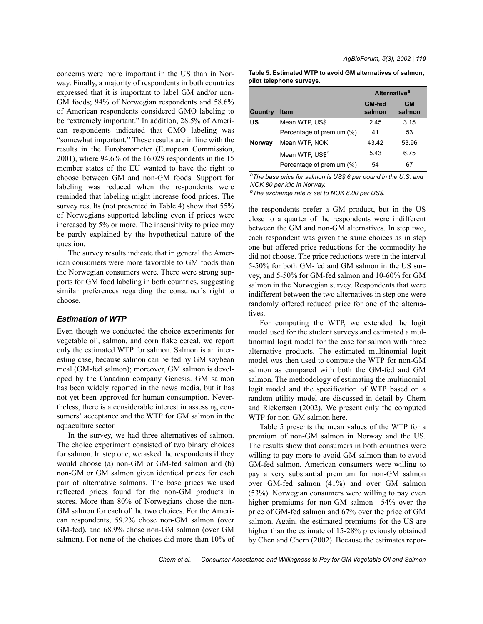concerns were more important in the US than in Norway. Finally, a majority of respondents in both countries expressed that it is important to label GM and/or non-GM foods; 94% of Norwegian respondents and 58.6% of American respondents considered GMO labeling to be "extremely important." In addition, 28.5% of American respondents indicated that GMO labeling was ìsomewhat important.î These results are in line with the results in the Eurobarometer (European Commission, 2001), where 94.6% of the 16,029 respondents in the 15 member states of the EU wanted to have the right to choose between GM and non-GM foods. Support for labeling was reduced when the respondents were reminded that labeling might increase food prices. The survey results (not presented in Table 4) show that 55% of Norwegians supported labeling even if prices were increased by 5% or more. The insensitivity to price may be partly explained by the hypothetical nature of the question.

The survey results indicate that in general the American consumers were more favorable to GM foods than the Norwegian consumers were. There were strong supports for GM food labeling in both countries, suggesting similar preferences regarding the consumer's right to choose.

### *Estimation of WTP*

Even though we conducted the choice experiments for vegetable oil, salmon, and corn flake cereal, we report only the estimated WTP for salmon. Salmon is an interesting case, because salmon can be fed by GM soybean meal (GM-fed salmon); moreover, GM salmon is developed by the Canadian company Genesis. GM salmon has been widely reported in the news media, but it has not yet been approved for human consumption. Nevertheless, there is a considerable interest in assessing consumers' acceptance and the WTP for GM salmon in the aquaculture sector.

In the survey, we had three alternatives of salmon. The choice experiment consisted of two binary choices for salmon. In step one, we asked the respondents if they would choose (a) non-GM or GM-fed salmon and (b) non-GM or GM salmon given identical prices for each pair of alternative salmons. The base prices we used reflected prices found for the non-GM products in stores. More than 80% of Norwegians chose the non-GM salmon for each of the two choices. For the American respondents, 59.2% chose non-GM salmon (over GM-fed), and 68.9% chose non-GM salmon (over GM salmon). For none of the choices did more than 10% of *AgBioForum, 5(3), 2002 | 110*

**Table 5. Estimated WTP to avoid GM alternatives of salmon, pilot telephone surveys.**

|         |                             | Alternative <sup>a</sup> |                     |  |
|---------|-----------------------------|--------------------------|---------------------|--|
| Country | <b>Item</b>                 | <b>GM-fed</b><br>salmon  | <b>GM</b><br>salmon |  |
| บร      | Mean WTP, US\$              | 245                      | 3.15                |  |
|         | Percentage of premium (%)   | 41                       | 53                  |  |
| Norway  | Mean WTP, NOK               | 43.42                    | 53.96               |  |
|         | Mean WTP, US\$ <sup>b</sup> | 5.43                     | 6.75                |  |
|         | Percentage of premium (%)   | 54                       | 67                  |  |

*aThe base price for salmon is US\$ 6 per pound in the U.S. and NOK 80 per kilo in Norway.*

*bThe exchange rate is set to NOK 8.00 per US\$.*

the respondents prefer a GM product, but in the US close to a quarter of the respondents were indifferent between the GM and non-GM alternatives. In step two, each respondent was given the same choices as in step one but offered price reductions for the commodity he did not choose. The price reductions were in the interval 5-50% for both GM-fed and GM salmon in the US survey, and 5-50% for GM-fed salmon and 10-60% for GM salmon in the Norwegian survey. Respondents that were indifferent between the two alternatives in step one were randomly offered reduced price for one of the alternatives.

For computing the WTP, we extended the logit model used for the student surveys and estimated a multinomial logit model for the case for salmon with three alternative products. The estimated multinomial logit model was then used to compute the WTP for non-GM salmon as compared with both the GM-fed and GM salmon. The methodology of estimating the multinomial logit model and the specification of WTP based on a random utility model are discussed in detail by Chern and Rickertsen (2002). We present only the computed WTP for non-GM salmon here.

Table 5 presents the mean values of the WTP for a premium of non-GM salmon in Norway and the US. The results show that consumers in both countries were willing to pay more to avoid GM salmon than to avoid GM-fed salmon. American consumers were willing to pay a very substantial premium for non-GM salmon over GM-fed salmon (41%) and over GM salmon (53%). Norwegian consumers were willing to pay even higher premiums for non-GM salmon— $54\%$  over the price of GM-fed salmon and 67% over the price of GM salmon. Again, the estimated premiums for the US are higher than the estimate of 15-28% previously obtained by Chen and Chern (2002). Because the estimates repor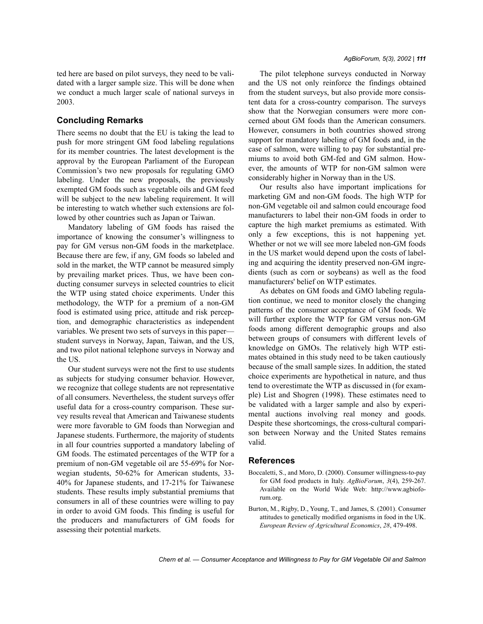ted here are based on pilot surveys, they need to be validated with a larger sample size. This will be done when we conduct a much larger scale of national surveys in 2003.

### **Concluding Remarks**

There seems no doubt that the EU is taking the lead to push for more stringent GM food labeling regulations for its member countries. The latest development is the approval by the European Parliament of the European Commission's two new proposals for regulating GMO labeling. Under the new proposals, the previously exempted GM foods such as vegetable oils and GM feed will be subject to the new labeling requirement. It will be interesting to watch whether such extensions are followed by other countries such as Japan or Taiwan.

Mandatory labeling of GM foods has raised the importance of knowing the consumer's willingness to pay for GM versus non-GM foods in the marketplace. Because there are few, if any, GM foods so labeled and sold in the market, the WTP cannot be measured simply by prevailing market prices. Thus, we have been conducting consumer surveys in selected countries to elicit the WTP using stated choice experiments. Under this methodology, the WTP for a premium of a non-GM food is estimated using price, attitude and risk perception, and demographic characteristics as independent variables. We present two sets of surveys in this paper– student surveys in Norway, Japan, Taiwan, and the US, and two pilot national telephone surveys in Norway and the US.

Our student surveys were not the first to use students as subjects for studying consumer behavior. However, we recognize that college students are not representative of all consumers. Nevertheless, the student surveys offer useful data for a cross-country comparison. These survey results reveal that American and Taiwanese students were more favorable to GM foods than Norwegian and Japanese students. Furthermore, the majority of students in all four countries supported a mandatory labeling of GM foods. The estimated percentages of the WTP for a premium of non-GM vegetable oil are 55-69% for Norwegian students, 50-62% for American students, 33- 40% for Japanese students, and 17-21% for Taiwanese students. These results imply substantial premiums that consumers in all of these countries were willing to pay in order to avoid GM foods. This finding is useful for the producers and manufacturers of GM foods for assessing their potential markets.

The pilot telephone surveys conducted in Norway and the US not only reinforce the findings obtained from the student surveys, but also provide more consistent data for a cross-country comparison. The surveys show that the Norwegian consumers were more concerned about GM foods than the American consumers. However, consumers in both countries showed strong support for mandatory labeling of GM foods and, in the case of salmon, were willing to pay for substantial premiums to avoid both GM-fed and GM salmon. However, the amounts of WTP for non-GM salmon were considerably higher in Norway than in the US.

Our results also have important implications for marketing GM and non-GM foods. The high WTP for non-GM vegetable oil and salmon could encourage food manufacturers to label their non-GM foods in order to capture the high market premiums as estimated. With only a few exceptions, this is not happening yet. Whether or not we will see more labeled non-GM foods in the US market would depend upon the costs of labeling and acquiring the identity preserved non-GM ingredients (such as corn or soybeans) as well as the food manufacturers' belief on WTP estimates.

As debates on GM foods and GMO labeling regulation continue, we need to monitor closely the changing patterns of the consumer acceptance of GM foods. We will further explore the WTP for GM versus non-GM foods among different demographic groups and also between groups of consumers with different levels of knowledge on GMOs. The relatively high WTP estimates obtained in this study need to be taken cautiously because of the small sample sizes. In addition, the stated choice experiments are hypothetical in nature, and thus tend to overestimate the WTP as discussed in (for example) List and Shogren (1998). These estimates need to be validated with a larger sample and also by experimental auctions involving real money and goods. Despite these shortcomings, the cross-cultural comparison between Norway and the United States remains valid.

## **References**

- Boccaletti, S., and Moro, D. (2000). Consumer willingness-to-pay for GM food products in Italy. *AgBioForum*, *3*(4), 259-267. Available on the World Wide Web: http://www.agbioforum.org.
- Burton, M., Rigby, D., Young, T., and James, S. (2001). Consumer attitudes to genetically modified organisms in food in the UK. *European Review of Agricultural Economics*, *28*, 479-498.